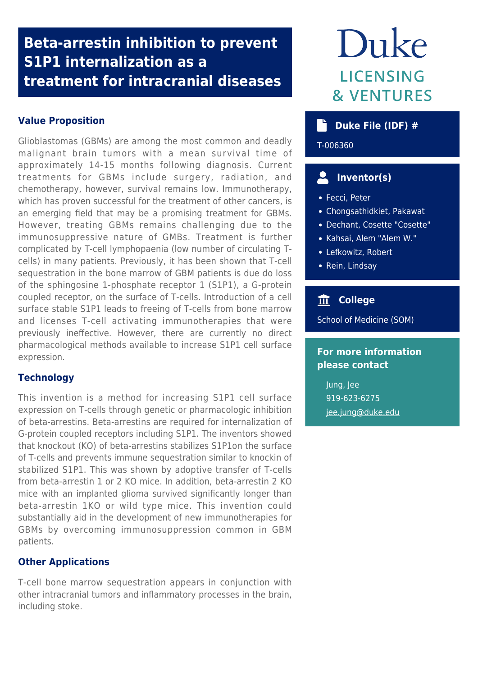## **Beta-arrestin inhibition to prevent S1P1 internalization as a treatment for intracranial diseases**

## **Value Proposition**

Glioblastomas (GBMs) are among the most common and deadly malignant brain tumors with a mean survival time of approximately 14-15 months following diagnosis. Current treatments for GBMs include surgery, radiation, and chemotherapy, however, survival remains low. Immunotherapy, which has proven successful for the treatment of other cancers, is an emerging field that may be a promising treatment for GBMs. However, treating GBMs remains challenging due to the immunosuppressive nature of GMBs. Treatment is further complicated by T-cell lymphopaenia (low number of circulating Tcells) in many patients. Previously, it has been shown that T-cell sequestration in the bone marrow of GBM patients is due do loss of the sphingosine 1-phosphate receptor 1 (S1P1), a G-protein coupled receptor, on the surface of T-cells. Introduction of a cell surface stable S1P1 leads to freeing of T-cells from bone marrow and licenses T-cell activating immunotherapies that were previously ineffective. However, there are currently no direct pharmacological methods available to increase S1P1 cell surface expression.

### **Technology**

This invention is a method for increasing S1P1 cell surface expression on T-cells through genetic or pharmacologic inhibition of beta-arrestins. Beta-arrestins are required for internalization of G-protein coupled receptors including S1P1. The inventors showed that knockout (KO) of beta-arrestins stabilizes S1P1on the surface of T-cells and prevents immune sequestration similar to knockin of stabilized S1P1. This was shown by adoptive transfer of T-cells from beta-arrestin 1 or 2 KO mice. In addition, beta-arrestin 2 KO mice with an implanted glioma survived significantly longer than beta-arrestin 1KO or wild type mice. This invention could substantially aid in the development of new immunotherapies for GBMs by overcoming immunosuppression common in GBM patients.

#### **Other Applications**

T-cell bone marrow sequestration appears in conjunction with other intracranial tumors and inflammatory processes in the brain, including stoke.

# Duke **LICENSING & VENTURES**

## **b** Duke File (IDF) #

T-006360

## **Inventor(s)**

- Fecci, Peter
- Chongsathidkiet, Pakawat
- Dechant, Cosette "Cosette"
- Kahsai, Alem "Alem W."
- Lefkowitz, Robert
- Rein, Lindsay

## **College**

School of Medicine (SOM)

### **For more information please contact**

Jung, Jee 919-623-6275 [jee.jung@duke.edu](mailto:jee.jung@duke.edu)